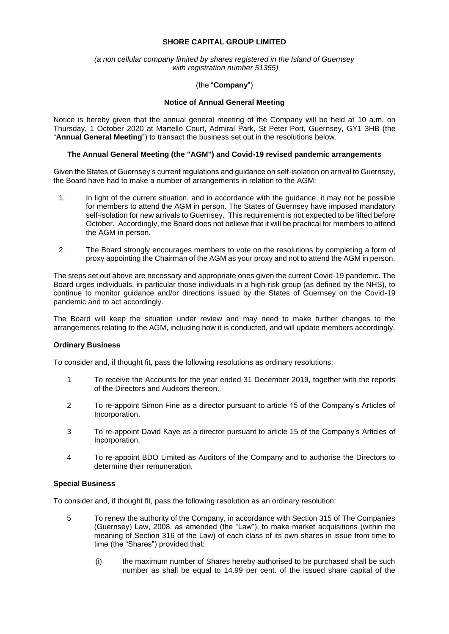## **SHORE CAPITAL GROUP LIMITED**

### *(a non cellular company limited by shares registered in the Island of Guernsey with registration number 51355)*

# (the "**Company**")

#### **Notice of Annual General Meeting**

Notice is hereby given that the annual general meeting of the Company will be held at 10 a.m. on Thursday, 1 October 2020 at Martello Court, Admiral Park, St Peter Port, Guernsey, GY1 3HB (the "**Annual General Meeting**") to transact the business set out in the resolutions below.

### **The Annual General Meeting (the "AGM") and Covid-19 revised pandemic arrangements**

Given the States of Guernsey's current regulations and guidance on self-isolation on arrival to Guernsey, the Board have had to make a number of arrangements in relation to the AGM:

- 1. In light of the current situation, and in accordance with the guidance, it may not be possible for members to attend the AGM in person. The States of Guernsey have imposed mandatory self-isolation for new arrivals to Guernsey. This requirement is not expected to be lifted before October. Accordingly, the Board does not believe that it will be practical for members to attend the AGM in person.
- 2. The Board strongly encourages members to vote on the resolutions by completing a form of proxy appointing the Chairman of the AGM as your proxy and not to attend the AGM in person.

The steps set out above are necessary and appropriate ones given the current Covid-19 pandemic. The Board urges individuals, in particular those individuals in a high-risk group (as defined by the NHS), to continue to monitor guidance and/or directions issued by the States of Guernsey on the Covid-19 pandemic and to act accordingly.

The Board will keep the situation under review and may need to make further changes to the arrangements relating to the AGM, including how it is conducted, and will update members accordingly.

#### **Ordinary Business**

To consider and, if thought fit, pass the following resolutions as ordinary resolutions:

- 1 To receive the Accounts for the year ended 31 December 2019, together with the reports of the Directors and Auditors thereon.
- 2 To re-appoint Simon Fine as a director pursuant to article 15 of the Company's Articles of Incorporation.
- 3 To re-appoint David Kaye as a director pursuant to article 15 of the Company's Articles of Incorporation.
- 4 To re-appoint BDO Limited as Auditors of the Company and to authorise the Directors to determine their remuneration.

#### **Special Business**

To consider and, if thought fit, pass the following resolution as an ordinary resolution:

- 5 To renew the authority of the Company, in accordance with Section 315 of The Companies (Guernsey) Law, 2008, as amended (the "Law"), to make market acquisitions (within the meaning of Section 316 of the Law) of each class of its own shares in issue from time to time (the "Shares") provided that:
	- (i) the maximum number of Shares hereby authorised to be purchased shall be such number as shall be equal to 14.99 per cent. of the issued share capital of the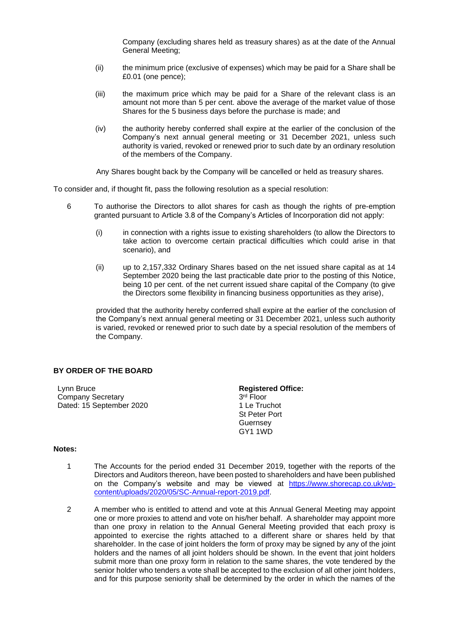Company (excluding shares held as treasury shares) as at the date of the Annual General Meeting;

- (ii) the minimum price (exclusive of expenses) which may be paid for a Share shall be £0.01 (one pence);
- (iii) the maximum price which may be paid for a Share of the relevant class is an amount not more than 5 per cent. above the average of the market value of those Shares for the 5 business days before the purchase is made; and
- (iv) the authority hereby conferred shall expire at the earlier of the conclusion of the Company's next annual general meeting or 31 December 2021, unless such authority is varied, revoked or renewed prior to such date by an ordinary resolution of the members of the Company.

Any Shares bought back by the Company will be cancelled or held as treasury shares.

To consider and, if thought fit, pass the following resolution as a special resolution:

- 6 To authorise the Directors to allot shares for cash as though the rights of pre-emption granted pursuant to Article 3.8 of the Company's Articles of Incorporation did not apply:
	- (i) in connection with a rights issue to existing shareholders (to allow the Directors to take action to overcome certain practical difficulties which could arise in that scenario), and
	- (ii) up to 2,157,332 Ordinary Shares based on the net issued share capital as at 14 September 2020 being the last practicable date prior to the posting of this Notice, being 10 per cent. of the net current issued share capital of the Company (to give the Directors some flexibility in financing business opportunities as they arise),

provided that the authority hereby conferred shall expire at the earlier of the conclusion of the Company's next annual general meeting or 31 December 2021, unless such authority is varied, revoked or renewed prior to such date by a special resolution of the members of the Company.

# **BY ORDER OF THE BOARD**

Lynn Bruce Company Secretary Dated: 15 September 2020

**Registered Office:** 3 rd Floor 1 Le Truchot St Peter Port **Guernsey** GY1 1WD

### **Notes:**

- 1 The Accounts for the period ended 31 December 2019, together with the reports of the Directors and Auditors thereon, have been posted to shareholders and have been published on the Company's website and may be viewed at [https://www.shorecap.co.uk/wp](https://www.shorecap.co.uk/wp-content/uploads/2020/05/SC-Annual-report-2019.pdf)[content/uploads/2020/05/SC-Annual-report-2019.pdf.](https://www.shorecap.co.uk/wp-content/uploads/2020/05/SC-Annual-report-2019.pdf)
- 2 A member who is entitled to attend and vote at this Annual General Meeting may appoint one or more proxies to attend and vote on his/her behalf. A shareholder may appoint more than one proxy in relation to the Annual General Meeting provided that each proxy is appointed to exercise the rights attached to a different share or shares held by that shareholder. In the case of joint holders the form of proxy may be signed by any of the joint holders and the names of all joint holders should be shown. In the event that joint holders submit more than one proxy form in relation to the same shares, the vote tendered by the senior holder who tenders a vote shall be accepted to the exclusion of all other joint holders, and for this purpose seniority shall be determined by the order in which the names of the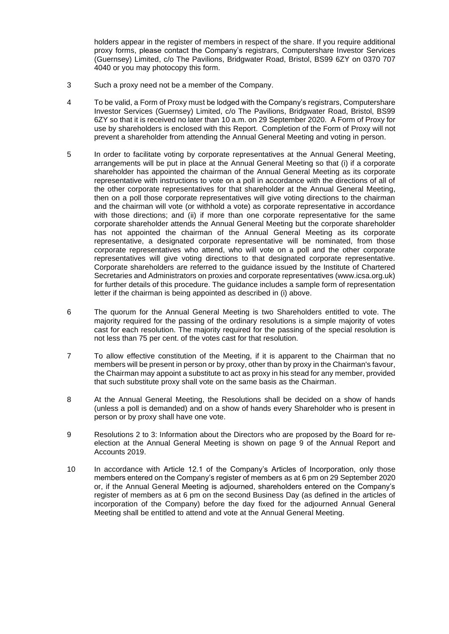holders appear in the register of members in respect of the share. If you require additional proxy forms, please contact the Company's registrars, Computershare Investor Services (Guernsey) Limited, c/o The Pavilions, Bridgwater Road, Bristol, BS99 6ZY on 0370 707 4040 or you may photocopy this form.

- 3 Such a proxy need not be a member of the Company.
- 4 To be valid, a Form of Proxy must be lodged with the Company's registrars, Computershare Investor Services (Guernsey) Limited, c/o The Pavilions, Bridgwater Road, Bristol, BS99 6ZY so that it is received no later than 10 a.m. on 29 September 2020. A Form of Proxy for use by shareholders is enclosed with this Report. Completion of the Form of Proxy will not prevent a shareholder from attending the Annual General Meeting and voting in person.
- 5 In order to facilitate voting by corporate representatives at the Annual General Meeting, arrangements will be put in place at the Annual General Meeting so that (i) if a corporate shareholder has appointed the chairman of the Annual General Meeting as its corporate representative with instructions to vote on a poll in accordance with the directions of all of the other corporate representatives for that shareholder at the Annual General Meeting, then on a poll those corporate representatives will give voting directions to the chairman and the chairman will vote (or withhold a vote) as corporate representative in accordance with those directions; and (ii) if more than one corporate representative for the same corporate shareholder attends the Annual General Meeting but the corporate shareholder has not appointed the chairman of the Annual General Meeting as its corporate representative, a designated corporate representative will be nominated, from those corporate representatives who attend, who will vote on a poll and the other corporate representatives will give voting directions to that designated corporate representative. Corporate shareholders are referred to the guidance issued by the Institute of Chartered Secretaries and Administrators on proxies and corporate representatives (www.icsa.org.uk) for further details of this procedure. The guidance includes a sample form of representation letter if the chairman is being appointed as described in (i) above.
- 6 The quorum for the Annual General Meeting is two Shareholders entitled to vote. The majority required for the passing of the ordinary resolutions is a simple majority of votes cast for each resolution. The majority required for the passing of the special resolution is not less than 75 per cent. of the votes cast for that resolution.
- 7 To allow effective constitution of the Meeting, if it is apparent to the Chairman that no members will be present in person or by proxy, other than by proxy in the Chairman's favour, the Chairman may appoint a substitute to act as proxy in his stead for any member, provided that such substitute proxy shall vote on the same basis as the Chairman.
- 8 At the Annual General Meeting, the Resolutions shall be decided on a show of hands (unless a poll is demanded) and on a show of hands every Shareholder who is present in person or by proxy shall have one vote.
- 9 Resolutions 2 to 3: Information about the Directors who are proposed by the Board for reelection at the Annual General Meeting is shown on page 9 of the Annual Report and Accounts 2019.
- 10 In accordance with Article 12.1 of the Company's Articles of Incorporation, only those members entered on the Company's register of members as at 6 pm on 29 September 2020 or, if the Annual General Meeting is adjourned, shareholders entered on the Company's register of members as at 6 pm on the second Business Day (as defined in the articles of incorporation of the Company) before the day fixed for the adjourned Annual General Meeting shall be entitled to attend and vote at the Annual General Meeting.